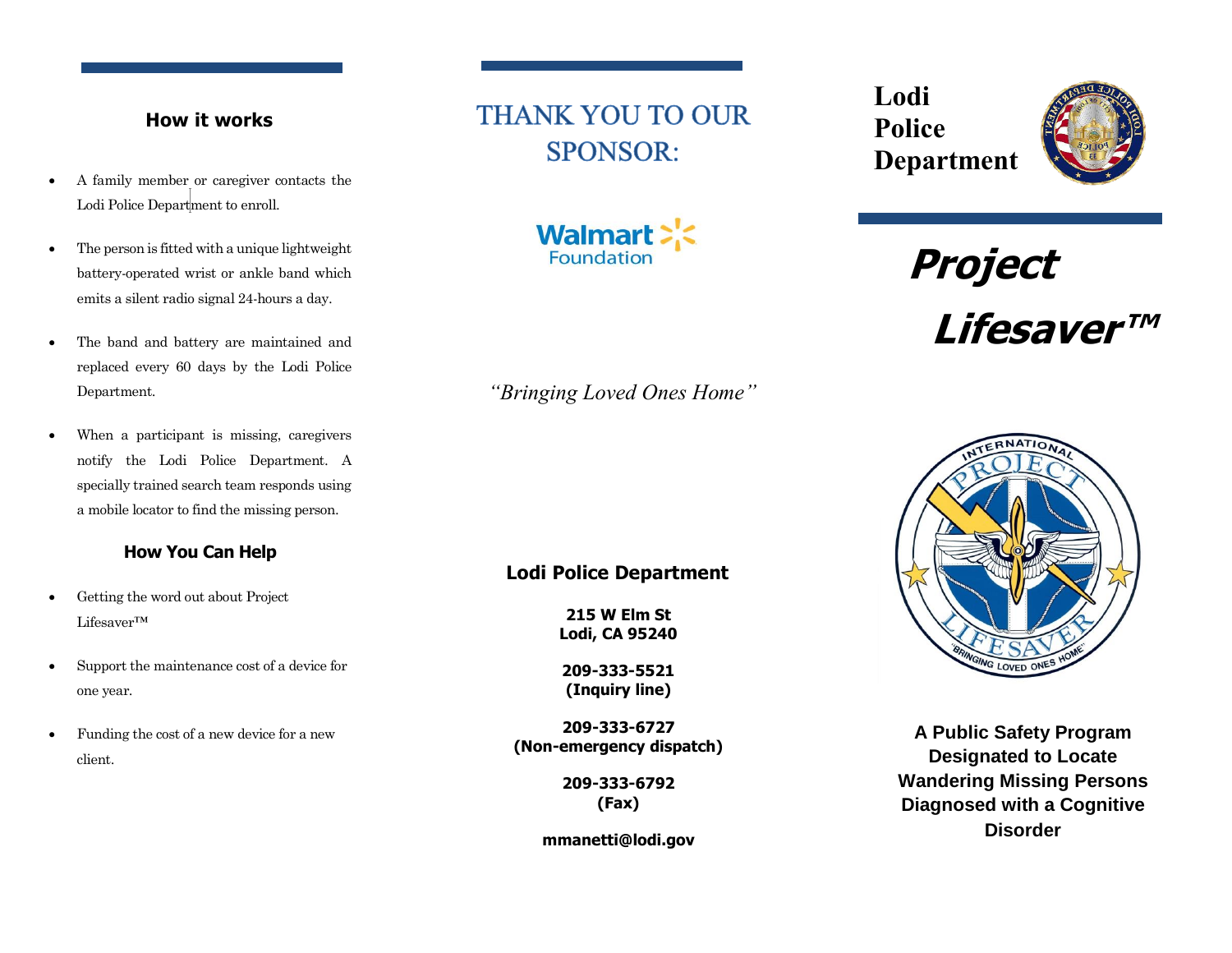## **How it works**

- A family member or caregiver contacts the Lodi Police Department to enroll.
- The person is fitted with a unique lightweight battery-operated wrist or ankle band which emits a silent radio signal 24-hours a day.
- The band and battery are maintained and replaced every 60 days by the Lodi Police Department.
- When a participant is missing, caregivers notify the Lodi Police Department. A specially trained search team responds using a mobile locator to find the missing person.

## **How You Can Help**

- Getting the word out about Project Lifesaver™
- Support the maintenance cost of a device for one year.
- Funding the cost of a new device for a new client.

# **THANK YOU TO OUR SPONSOR:**



*"Bringing Loved Ones Home"*

# **Lodi Police Department**

**215 W Elm St Lodi, CA 95240**

**209-333-5521 (Inquiry line)**

**209-333-6727 (Non-emergency dispatch)**

> **209-333-6792 (Fax)**

**mmanetti@lodi.gov**

**Lodi Police Department**



**Project Lifesaver™** 



**A Public Safety Program Designated to Locate Wandering Missing Persons Diagnosed with a Cognitive Disorder**